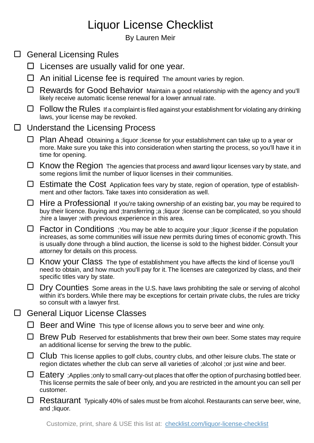## Liquor License Checklist

By Lauren Meir

| $\Box$ | <b>General Licensing Rules</b>        |                                                                                                                                                                                                                                                                                                                                         |  |
|--------|---------------------------------------|-----------------------------------------------------------------------------------------------------------------------------------------------------------------------------------------------------------------------------------------------------------------------------------------------------------------------------------------|--|
|        | ⊔                                     | Licenses are usually valid for one year.                                                                                                                                                                                                                                                                                                |  |
|        | ⊔                                     | An initial License fee is required The amount varies by region.                                                                                                                                                                                                                                                                         |  |
|        | ⊔                                     | Rewards for Good Behavior Maintain a good relationship with the agency and you'll<br>likely receive automatic license renewal for a lower annual rate.                                                                                                                                                                                  |  |
|        | $\Box$                                | Follow the Rules If a complaint is filed against your establishment for violating any drinking<br>laws, your license may be revoked.                                                                                                                                                                                                    |  |
| $\Box$ | Understand the Licensing Process      |                                                                                                                                                                                                                                                                                                                                         |  |
|        | ⊔                                     | Plan Ahead Obtaining a ; liquor ; license for your establishment can take up to a year or<br>more. Make sure you take this into consideration when starting the process, so you'll have it in<br>time for opening.                                                                                                                      |  |
|        | ⊔                                     | Know the Region The agencies that process and award liqour licenses vary by state, and<br>some regions limit the number of liquor licenses in their communities.                                                                                                                                                                        |  |
|        | ⊔                                     | Estimate the Cost Application fees vary by state, region of operation, type of establish-<br>ment and other factors. Take taxes into consideration as well.                                                                                                                                                                             |  |
|        | ⊔                                     | Hire a Professional If you're taking ownership of an existing bar, you may be required to<br>buy their licence. Buying and ;transferring ;a ;liquor ;license can be complicated, so you should<br>; hire a lawyer; with previous experience in this area.                                                                               |  |
|        | ⊔                                     | Factor in Conditions ; You may be able to acquire your ; liquor ; license if the population<br>increases, as some communities will issue new permits during times of economic growth. This<br>is usually done through a blind auction, the license is sold to the highest bidder. Consult your<br>attorney for details on this process. |  |
|        | ⊔                                     | Know your Class The type of establishment you have affects the kind of license you'll<br>need to obtain, and how much you'll pay for it. The licenses are categorized by class, and their<br>specific titles vary by state.                                                                                                             |  |
|        |                                       | Dry Counties Some areas in the U.S. have laws prohibiting the sale or serving of alcohol<br>within it's borders. While there may be exceptions for certain private clubs, the rules are tricky<br>so consult with a lawyer first.                                                                                                       |  |
|        | <b>General Liquor License Classes</b> |                                                                                                                                                                                                                                                                                                                                         |  |
|        |                                       | Beer and Wine This type of license allows you to serve beer and wine only.                                                                                                                                                                                                                                                              |  |
|        |                                       | Brew Pub Reserved for establishments that brew their own beer. Some states may require<br>an additional license for serving the brew to the public.                                                                                                                                                                                     |  |
|        | ⊔                                     | Club This license applies to golf clubs, country clubs, and other leisure clubs. The state or<br>region dictates whether the club can serve all varieties of ; alcohol ; or just wine and beer.                                                                                                                                         |  |
|        | ⊔                                     | Eatery ; Applies ; only to small carry-out places that offer the option of purchasing bottled beer.<br>This license permits the sale of beer only, and you are restricted in the amount you can sell per<br>customer.                                                                                                                   |  |
|        |                                       | Restaurant Typically 40% of sales must be from alcohol. Restaurants can serve beer, wine,<br>and ; liquor.                                                                                                                                                                                                                              |  |